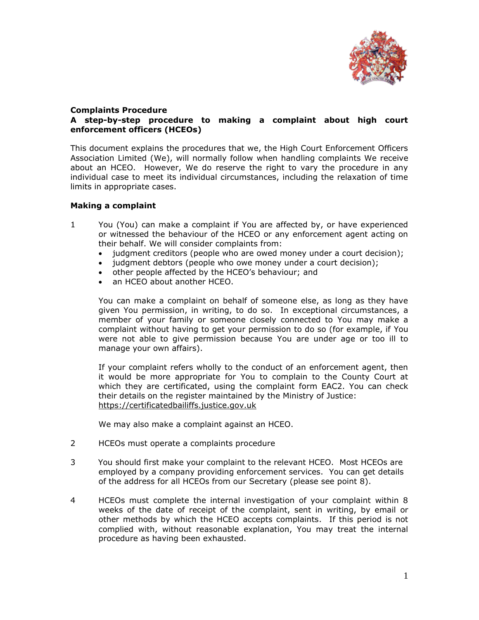

### **Complaints Procedure A step-by-step procedure to making a complaint about high court enforcement officers (HCEOs)**

This document explains the procedures that we, the High Court Enforcement Officers Association Limited (We), will normally follow when handling complaints We receive about an HCEO. However, We do reserve the right to vary the procedure in any individual case to meet its individual circumstances, including the relaxation of time limits in appropriate cases.

# **Making a complaint**

- 1 You (You) can make a complaint if You are affected by, or have experienced or witnessed the behaviour of the HCEO or any enforcement agent acting on their behalf. We will consider complaints from:
	- judgment creditors (people who are owed money under a court decision);
	- judgment debtors (people who owe money under a court decision);
	- other people affected by the HCEO's behaviour; and
	- an HCEO about another HCEO.

You can make a complaint on behalf of someone else, as long as they have given You permission, in writing, to do so. In exceptional circumstances, a member of your family or someone closely connected to You may make a complaint without having to get your permission to do so (for example, if You were not able to give permission because You are under age or too ill to manage your own affairs).

If your complaint refers wholly to the conduct of an enforcement agent, then it would be more appropriate for You to complain to the County Court at which they are certificated, using the complaint form EAC2. You can check their details on the register maintained by the Ministry of Justice: [https://certificatedbailiffs.justice.gov.uk](https://certificatedbailiffs.justice.gov.uk/)

We may also make a complaint against an HCEO.

- 2 HCEOs must operate a complaints procedure
- 3 You should first make your complaint to the relevant HCEO. Most HCEOs are employed by a company providing enforcement services. You can get details of the address for all HCEOs from our Secretary (please see point 8).
- 4 HCEOs must complete the internal investigation of your complaint within 8 weeks of the date of receipt of the complaint, sent in writing, by email or other methods by which the HCEO accepts complaints. If this period is not complied with, without reasonable explanation, You may treat the internal procedure as having been exhausted.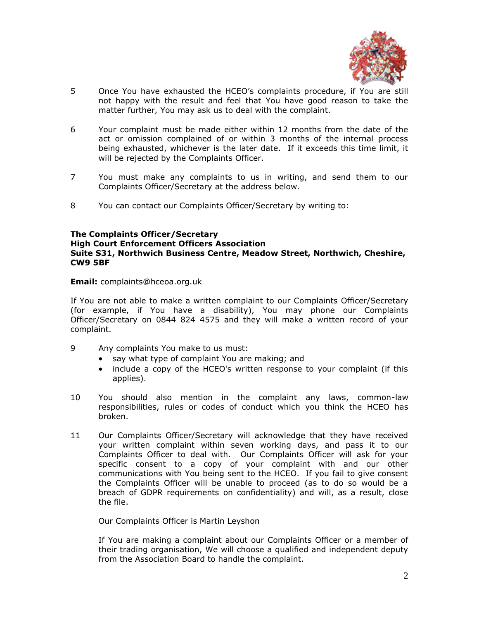

- 5 Once You have exhausted the HCEO's complaints procedure, if You are still not happy with the result and feel that You have good reason to take the matter further, You may ask us to deal with the complaint.
- 6 Your complaint must be made either within 12 months from the date of the act or omission complained of or within 3 months of the internal process being exhausted, whichever is the later date. If it exceeds this time limit, it will be rejected by the Complaints Officer.
- 7 You must make any complaints to us in writing, and send them to our Complaints Officer/Secretary at the address below.
- 8 You can contact our Complaints Officer/Secretary by writing to:

### **The Complaints Officer/Secretary High Court Enforcement Officers Association Suite S31, Northwich Business Centre, Meadow Street, Northwich, Cheshire, CW9 5BF**

**Email:** [complaints@hceoa.org.uk](mailto:complaints@hceoa.org.uk)

If You are not able to make a written complaint to our Complaints Officer/Secretary (for example, if You have a disability), You may phone our Complaints Officer/Secretary on 0844 824 4575 and they will make a written record of your complaint.

- 9 Any complaints You make to us must:
	- say what type of complaint You are making; and
	- include a copy of the HCEO's written response to your complaint (if this applies).
- 10 You should also mention in the complaint any laws, common-law responsibilities, rules or codes of conduct which you think the HCEO has broken.
- 11 Our Complaints Officer/Secretary will acknowledge that they have received your written complaint within seven working days, and pass it to our Complaints Officer to deal with. Our Complaints Officer will ask for your specific consent to a copy of your complaint with and our other communications with You being sent to the HCEO. If you fail to give consent the Complaints Officer will be unable to proceed (as to do so would be a breach of GDPR requirements on confidentiality) and will, as a result, close the file.

Our Complaints Officer is Martin Leyshon

If You are making a complaint about our Complaints Officer or a member of their trading organisation, We will choose a qualified and independent deputy from the Association Board to handle the complaint.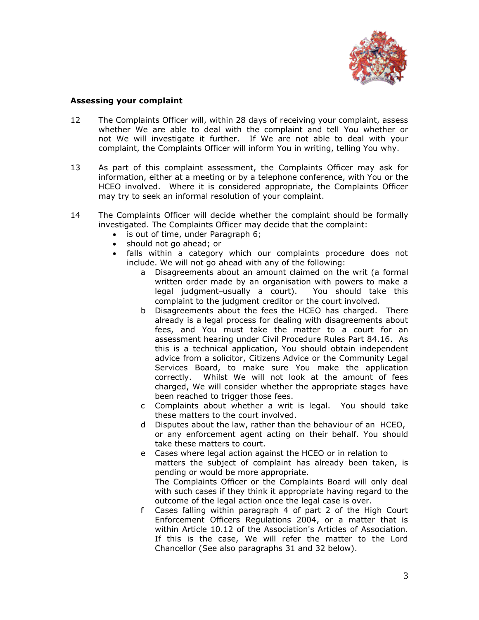

### **Assessing your complaint**

- 12 The Complaints Officer will, within 28 days of receiving your complaint, assess whether We are able to deal with the complaint and tell You whether or not We will investigate it further. If We are not able to deal with your complaint, the Complaints Officer will inform You in writing, telling You why.
- 13 As part of this complaint assessment, the Complaints Officer may ask for information, either at a meeting or by a telephone conference, with You or the HCEO involved. Where it is considered appropriate, the Complaints Officer may try to seek an informal resolution of your complaint.
- 14 The Complaints Officer will decide whether the complaint should be formally investigated. The Complaints Officer may decide that the complaint:
	- is out of time, under Paragraph 6;
	- should not go ahead; or
	- falls within a category which our complaints procedure does not include. We will not go ahead with any of the following:
		- a Disagreements about an amount claimed on the writ (a formal written order made by an organisation with powers to make a legal judgment–usually a court). You should take this complaint to the judgment creditor or the court involved.
		- b Disagreements about the fees the HCEO has charged. There already is a legal process for dealing with disagreements about fees, and You must take the matter to a court for an assessment hearing under Civil Procedure Rules Part 84.16. As this is a technical application, You should obtain independent advice from a solicitor, Citizens Advice or the Community Legal Services Board, to make sure You make the application correctly. Whilst We will not look at the amount of fees charged, We will consider whether the appropriate stages have been reached to trigger those fees.
		- c Complaints about whether a writ is legal. You should take these matters to the court involved.
		- d Disputes about the law, rather than the behaviour of an HCEO, or any enforcement agent acting on their behalf. You should take these matters to court.
		- e Cases where legal action against the HCEO or in relation to matters the subject of complaint has already been taken, is pending or would be more appropriate. The Complaints Officer or the Complaints Board will only deal with such cases if they think it appropriate having regard to the outcome of the legal action once the legal case is over.
		- f Cases falling within paragraph 4 of part 2 of the High Court Enforcement Officers Regulations 2004, or a matter that is within Article 10.12 of the Association's Articles of Association. If this is the case, We will refer the matter to the Lord Chancellor (See also paragraphs 31 and 32 below).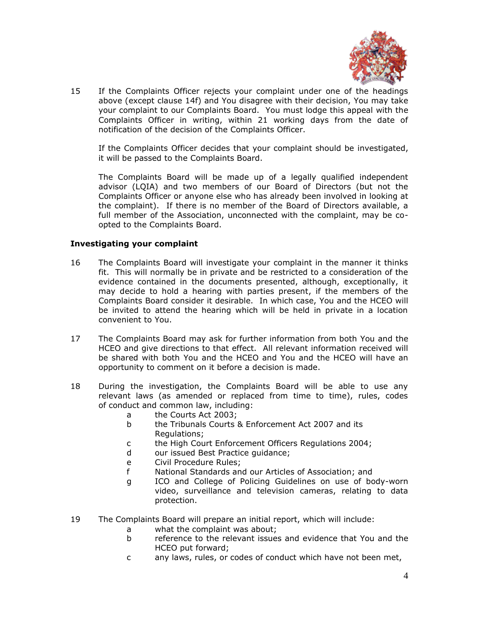

15 If the Complaints Officer rejects your complaint under one of the headings above (except clause 14f) and You disagree with their decision, You may take your complaint to our Complaints Board. You must lodge this appeal with the Complaints Officer in writing, within 21 working days from the date of notification of the decision of the Complaints Officer.

If the Complaints Officer decides that your complaint should be investigated, it will be passed to the Complaints Board.

The Complaints Board will be made up of a legally qualified independent advisor (LQIA) and two members of our Board of Directors (but not the Complaints Officer or anyone else who has already been involved in looking at the complaint). If there is no member of the Board of Directors available, a full member of the Association, unconnected with the complaint, may be coopted to the Complaints Board.

### **Investigating your complaint**

- 16 The Complaints Board will investigate your complaint in the manner it thinks fit. This will normally be in private and be restricted to a consideration of the evidence contained in the documents presented, although, exceptionally, it may decide to hold a hearing with parties present, if the members of the Complaints Board consider it desirable. In which case, You and the HCEO will be invited to attend the hearing which will be held in private in a location convenient to You.
- 17 The Complaints Board may ask for further information from both You and the HCEO and give directions to that effect. All relevant information received will be shared with both You and the HCEO and You and the HCEO will have an opportunity to comment on it before a decision is made.
- 18 During the investigation, the Complaints Board will be able to use any relevant laws (as amended or replaced from time to time), rules, codes of conduct and common law, including:
	- a the Courts Act 2003;
	- b the Tribunals Courts & Enforcement Act 2007 and its Regulations;
	- c the High Court Enforcement Officers Regulations 2004;
	- d our issued Best Practice guidance;
	- e Civil Procedure Rules;
	- f National Standards and our Articles of Association; and
	- g ICO and College of Policing Guidelines on use of body-worn video, surveillance and television cameras, relating to data protection.
- 19 The Complaints Board will prepare an initial report, which will include:
	- a what the complaint was about;
	- b reference to the relevant issues and evidence that You and the HCEO put forward;
	- c any laws, rules, or codes of conduct which have not been met,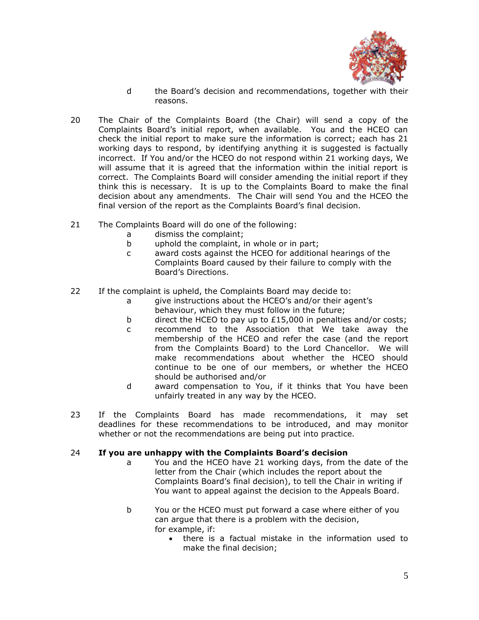

- d the Board's decision and recommendations, together with their reasons.
- 20 The Chair of the Complaints Board (the Chair) will send a copy of the Complaints Board's initial report, when available. You and the HCEO can check the initial report to make sure the information is correct; each has 21 working days to respond, by identifying anything it is suggested is factually incorrect. If You and/or the HCEO do not respond within 21 working days, We will assume that it is agreed that the information within the initial report is correct. The Complaints Board will consider amending the initial report if they think this is necessary. It is up to the Complaints Board to make the final decision about any amendments. The Chair will send You and the HCEO the final version of the report as the Complaints Board's final decision.
- 21 The Complaints Board will do one of the following:
	- a dismiss the complaint;
	- b uphold the complaint, in whole or in part;
	- c award costs against the HCEO for additional hearings of the Complaints Board caused by their failure to comply with the Board's Directions.
- 22 If the complaint is upheld, the Complaints Board may decide to:
	- a give instructions about the HCEO's and/or their agent's behaviour, which they must follow in the future;
	- b direct the HCEO to pay up to £15,000 in penalties and/or costs;
	- c recommend to the Association that We take away the membership of the HCEO and refer the case (and the report from the Complaints Board) to the Lord Chancellor. We will make recommendations about whether the HCEO should continue to be one of our members, or whether the HCEO should be authorised and/or
	- d award compensation to You, if it thinks that You have been unfairly treated in any way by the HCEO.
- 23 If the Complaints Board has made recommendations, it may set deadlines for these recommendations to be introduced, and may monitor whether or not the recommendations are being put into practice.

### 24 **If you are unhappy with the Complaints Board's decision**

- a You and the HCEO have 21 working days, from the date of the letter from the Chair (which includes the report about the Complaints Board's final decision), to tell the Chair in writing if You want to appeal against the decision to the Appeals Board.
- b You or the HCEO must put forward a case where either of you can argue that there is a problem with the decision, for example, if:
	- there is a factual mistake in the information used to make the final decision;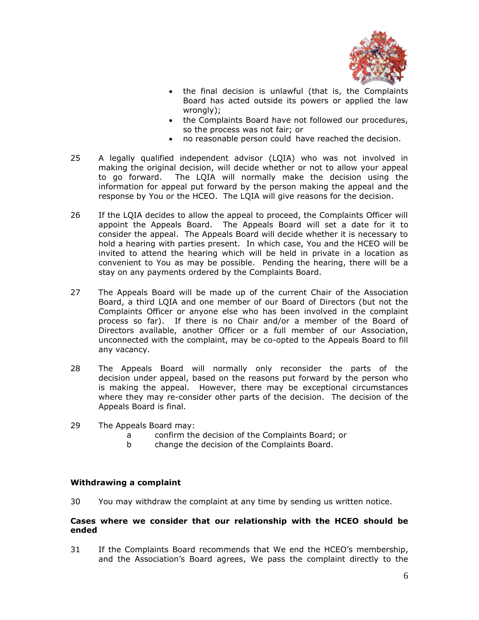

- the final decision is unlawful (that is, the Complaints Board has acted outside its powers or applied the law wrongly);
- the Complaints Board have not followed our procedures, so the process was not fair; or
- no reasonable person could have reached the decision.
- 25 A legally qualified independent advisor (LQIA) who was not involved in making the original decision, will decide whether or not to allow your appeal to go forward. The LQIA will normally make the decision using the information for appeal put forward by the person making the appeal and the response by You or the HCEO. The LQIA will give reasons for the decision.
- 26 If the LQIA decides to allow the appeal to proceed, the Complaints Officer will appoint the Appeals Board. The Appeals Board will set a date for it to consider the appeal. The Appeals Board will decide whether it is necessary to hold a hearing with parties present. In which case, You and the HCEO will be invited to attend the hearing which will be held in private in a location as convenient to You as may be possible. Pending the hearing, there will be a stay on any payments ordered by the Complaints Board.
- 27 The Appeals Board will be made up of the current Chair of the Association Board, a third LQIA and one member of our Board of Directors (but not the Complaints Officer or anyone else who has been involved in the complaint process so far). If there is no Chair and/or a member of the Board of Directors available, another Officer or a full member of our Association, unconnected with the complaint, may be co-opted to the Appeals Board to fill any vacancy.
- 28 The Appeals Board will normally only reconsider the parts of the decision under appeal, based on the reasons put forward by the person who is making the appeal. However, there may be exceptional circumstances where they may re-consider other parts of the decision. The decision of the Appeals Board is final.
- 29 The Appeals Board may:
	- a confirm the decision of the Complaints Board; or
	- b change the decision of the Complaints Board.

# **Withdrawing a complaint**

30 You may withdraw the complaint at any time by sending us written notice.

### **Cases where we consider that our relationship with the HCEO should be ended**

31 If the Complaints Board recommends that We end the HCEO's membership, and the Association's Board agrees, We pass the complaint directly to the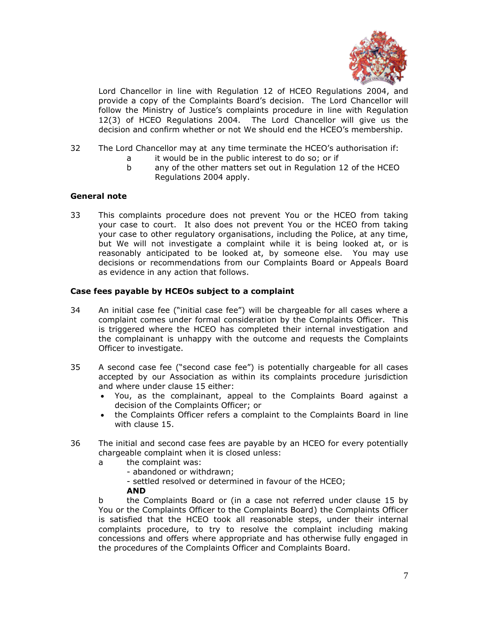

Lord Chancellor in line with Regulation 12 of HCEO Regulations 2004, and provide a copy of the Complaints Board's decision. The Lord Chancellor will follow the Ministry of Justice's complaints procedure in line with Regulation 12(3) of HCEO Regulations 2004. The Lord Chancellor will give us the decision and confirm whether or not We should end the HCEO's membership.

- 32 The Lord Chancellor may at any time terminate the HCEO's authorisation if:
	- a it would be in the public interest to do so; or if
	- b any of the other matters set out in Regulation 12 of the HCEO Regulations 2004 apply.

# **General note**

33 This complaints procedure does not prevent You or the HCEO from taking your case to court. It also does not prevent You or the HCEO from taking your case to other regulatory organisations, including the Police, at any time, but We will not investigate a complaint while it is being looked at, or is reasonably anticipated to be looked at, by someone else. You may use decisions or recommendations from our Complaints Board or Appeals Board as evidence in any action that follows.

### **Case fees payable by HCEOs subject to a complaint**

- 34 An initial case fee ("initial case fee") will be chargeable for all cases where a complaint comes under formal consideration by the Complaints Officer. This is triggered where the HCEO has completed their internal investigation and the complainant is unhappy with the outcome and requests the Complaints Officer to investigate.
- 35 A second case fee ("second case fee") is potentially chargeable for all cases accepted by our Association as within its complaints procedure jurisdiction and where under clause 15 either:
	- You, as the complainant, appeal to the Complaints Board against a decision of the Complaints Officer; or
	- the Complaints Officer refers a complaint to the Complaints Board in line with clause 15.
- 36 The initial and second case fees are payable by an HCEO for every potentially chargeable complaint when it is closed unless:
	- a the complaint was:
		- abandoned or withdrawn;
		- settled resolved or determined in favour of the HCEO;

#### **AND**

b the Complaints Board or (in a case not referred under clause 15 by You or the Complaints Officer to the Complaints Board) the Complaints Officer is satisfied that the HCEO took all reasonable steps, under their internal complaints procedure, to try to resolve the complaint including making concessions and offers where appropriate and has otherwise fully engaged in the procedures of the Complaints Officer and Complaints Board.